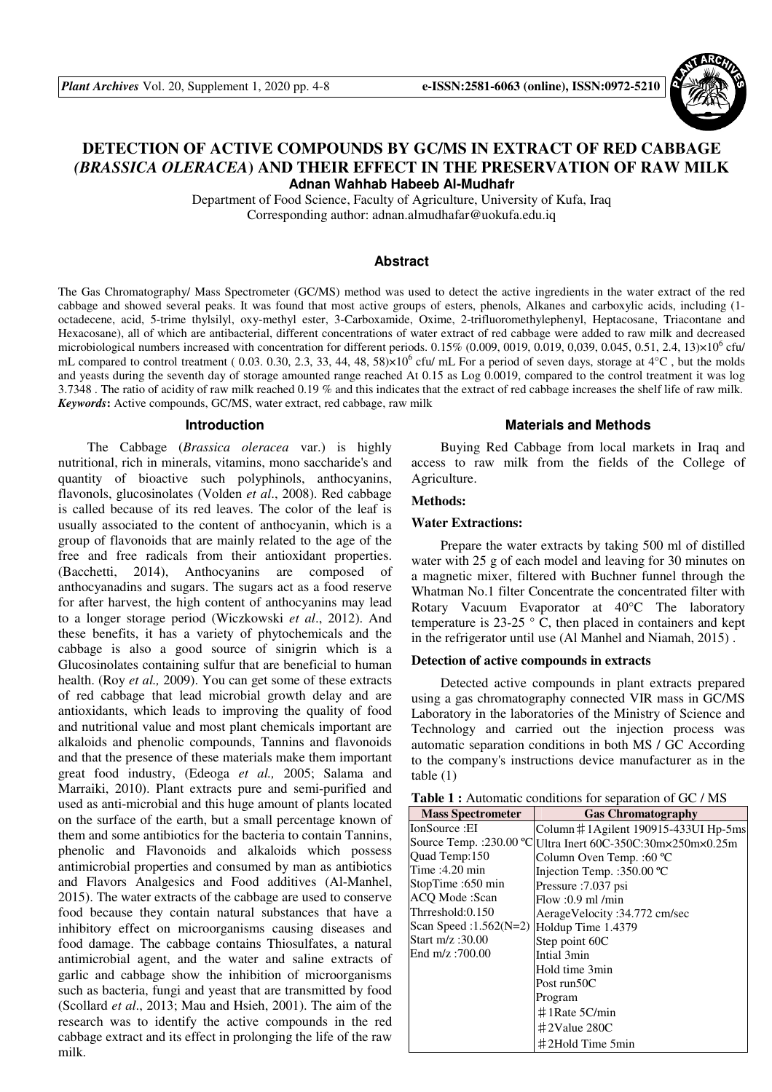

# **DETECTION OF ACTIVE COMPOUNDS BY GC/MS IN EXTRACT OF RED CABBAGE**  *(BRASSICA OLERACEA***) AND THEIR EFFECT IN THE PRESERVATION OF RAW MILK Adnan Wahhab Habeeb Al-Mudhafr**

Department of Food Science, Faculty of Agriculture, University of Kufa, Iraq Corresponding author: adnan.almudhafar@uokufa.edu.iq

#### **Abstract**

The Gas Chromatography/ Mass Spectrometer (GC/MS) method was used to detect the active ingredients in the water extract of the red cabbage and showed several peaks. It was found that most active groups of esters, phenols, Alkanes and carboxylic acids, including (1 octadecene, acid, 5-trime thylsilyl, oxy-methyl ester, 3-Carboxamide, Oxime, 2-trifluoromethylephenyl, Heptacosane, Triacontane and Hexacosane), all of which are antibacterial, different concentrations of water extract of red cabbage were added to raw milk and decreased microbiological numbers increased with concentration for different periods.  $0.15\%$  (0.009, 0019, 0.019, 0,039, 0.045, 0.51, 2.4, 13)×10<sup>6</sup> cfu/ mL compared to control treatment (0.03. 0.30, 2.3, 33, 44, 48,  $58 \times 10^6$  cfu/ mL For a period of seven days, storage at 4°C, but the molds and yeasts during the seventh day of storage amounted range reached At 0.15 as Log 0.0019, compared to the control treatment it was log 3.7348 . The ratio of acidity of raw milk reached 0.19 % and this indicates that the extract of red cabbage increases the shelf life of raw milk. *Keywords***:** Active compounds, GC/MS, water extract, red cabbage, raw milk

#### **Introduction**

The Cabbage (*Brassica oleracea* var.) is highly nutritional, rich in minerals, vitamins, mono saccharide's and quantity of bioactive such polyphinols, anthocyanins, flavonols, glucosinolates (Volden *et al*., 2008). Red cabbage is called because of its red leaves. The color of the leaf is usually associated to the content of anthocyanin, which is a group of flavonoids that are mainly related to the age of the free and free radicals from their antioxidant properties. (Bacchetti, 2014), Anthocyanins are composed of anthocyanadins and sugars. The sugars act as a food reserve for after harvest, the high content of anthocyanins may lead to a longer storage period (Wiczkowski *et al*., 2012). And these benefits, it has a variety of phytochemicals and the cabbage is also a good source of sinigrin which is a Glucosinolates containing sulfur that are beneficial to human health. (Roy *et al.,* 2009). You can get some of these extracts of red cabbage that lead microbial growth delay and are antioxidants, which leads to improving the quality of food and nutritional value and most plant chemicals important are alkaloids and phenolic compounds, Tannins and flavonoids and that the presence of these materials make them important great food industry, (Edeoga *et al.,* 2005; Salama and Marraiki, 2010). Plant extracts pure and semi-purified and used as anti-microbial and this huge amount of plants located on the surface of the earth, but a small percentage known of them and some antibiotics for the bacteria to contain Tannins, phenolic and Flavonoids and alkaloids which possess antimicrobial properties and consumed by man as antibiotics and Flavors Analgesics and Food additives (Al-Manhel, 2015). The water extracts of the cabbage are used to conserve food because they contain natural substances that have a inhibitory effect on microorganisms causing diseases and food damage. The cabbage contains Thiosulfates, a natural antimicrobial agent, and the water and saline extracts of garlic and cabbage show the inhibition of microorganisms such as bacteria, fungi and yeast that are transmitted by food (Scollard *et al*., 2013; Mau and Hsieh, 2001). The aim of the research was to identify the active compounds in the red cabbage extract and its effect in prolonging the life of the raw milk.

#### **Materials and Methods**

Buying Red Cabbage from local markets in Iraq and access to raw milk from the fields of the College of Agriculture.

#### **Methods:**

#### **Water Extractions:**

Prepare the water extracts by taking 500 ml of distilled water with 25 g of each model and leaving for 30 minutes on a magnetic mixer, filtered with Buchner funnel through the Whatman No.1 filter Concentrate the concentrated filter with Rotary Vacuum Evaporator at 40°C The laboratory temperature is  $23-25$  ° C, then placed in containers and kept in the refrigerator until use (Al Manhel and Niamah, 2015) .

#### **Detection of active compounds in extracts**

Detected active compounds in plant extracts prepared using a gas chromatography connected VIR mass in GC/MS Laboratory in the laboratories of the Ministry of Science and Technology and carried out the injection process was automatic separation conditions in both MS / GC According to the company's instructions device manufacturer as in the table (1)

| <b>Table 1:</b> Automatic conditions for separation of GC / MS |  |  |
|----------------------------------------------------------------|--|--|
|----------------------------------------------------------------|--|--|

| <b>Mass Spectrometer</b>                  | <b>Gas Chromatography</b>                                   |
|-------------------------------------------|-------------------------------------------------------------|
| IonSource: EI                             | Column $\#$ 1 Agilent 190915-433UI Hp-5ms                   |
|                                           | Source Temp.: 230.00 °C Ultra Inert 60C-350C:30m×250m×0.25m |
| Quad Temp:150                             | Column Oven Temp.: 60 °C                                    |
| Time: $4.20 \text{ min}$                  | Injection Temp. : 350.00 °C                                 |
| StopTime :650 min                         | Pressure : 7.037 psi                                        |
| ACO Mode:Scan                             | Flow: 0.9 ml/min                                            |
| Thrreshold:0.150                          | AerageVelocity: 34.772 cm/sec                               |
| Scan Speed: 1.562(N=2) Holdup Time 1.4379 |                                                             |
| Start $m/z$ : 30.00                       | Step point 60C                                              |
| End $m/z$ : 700.00                        | Intial 3min                                                 |
|                                           | Hold time 3min                                              |
|                                           | Post run50C                                                 |
|                                           | Program                                                     |
|                                           | $\#$ 1 Rate 5 C/min                                         |
|                                           | $\pm 2$ Value 280C                                          |
|                                           | $\pm$ 2Hold Time 5min                                       |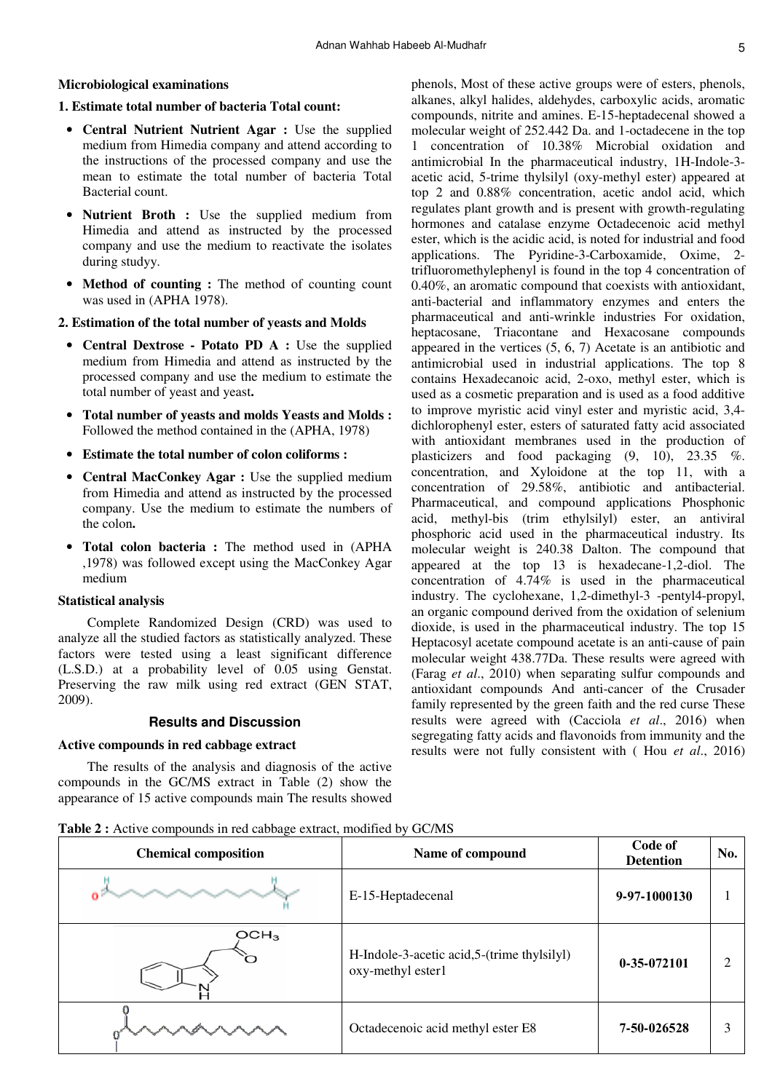# **Microbiological examinations**

## **1. Estimate total number of bacteria Total count**:

- **Central Nutrient Nutrient Agar :** Use the supplied medium from Himedia company and attend according to the instructions of the processed company and use the mean to estimate the total number of bacteria Total Bacterial count.
- **Nutrient Broth :** Use the supplied medium from Himedia and attend as instructed by the processed company and use the medium to reactivate the isolates during studyy.
- **Method of counting :** The method of counting count was used in (APHA 1978).

### **2. Estimation of the total number of yeasts and Molds**

- **Central Dextrose Potato PD A :** Use the supplied medium from Himedia and attend as instructed by the processed company and use the medium to estimate the total number of yeast and yeast.
- **Total number of yeasts and molds Yeasts and Molds :** Followed the method contained in the (APHA, 1978)
- **Estimate the total number of colon coliforms :**
- **Central MacConkey Agar :** Use the supplied medium from Himedia and attend as instructed by the processed company. Use the medium to estimate the numbers of the colon.
- **Total colon bacteria :** The method used in (APHA ,1978) was followed except using the MacConkey Agar medium

#### **Statistical analysis**

Complete Randomized Design (CRD) was used to analyze all the studied factors as statistically analyzed. These factors were tested using a least significant difference (L.S.D.) at a probability level of 0.05 using Genstat. Preserving the raw milk using red extract (GEN STAT, 2009).

### **Results and Discussion**

### **Active compounds in red cabbage extract**

The results of the analysis and diagnosis of the active compounds in the GC/MS extract in Table (2) show the appearance of 15 active compounds main The results showed

phenols, Most of these active groups were of esters, phenols, alkanes, alkyl halides, aldehydes, carboxylic acids, aromatic compounds, nitrite and amines. E-15-heptadecenal showed a molecular weight of 252.442 Da. and 1-octadecene in the top 1 concentration of 10.38% Microbial oxidation and antimicrobial In the pharmaceutical industry, 1H-Indole-3 acetic acid, 5-trime thylsilyl (oxy-methyl ester) appeared at top 2 and 0.88% concentration, acetic andol acid, which regulates plant growth and is present with growth-regulating hormones and catalase enzyme Octadecenoic acid methyl ester, which is the acidic acid, is noted for industrial and food applications. The Pyridine-3-Carboxamide, Oxime, 2 trifluoromethylephenyl is found in the top 4 concentration of 0.40%, an aromatic compound that coexists with antioxidant, anti-bacterial and inflammatory enzymes and enters the pharmaceutical and anti-wrinkle industries For oxidation, heptacosane, Triacontane and Hexacosane compounds appeared in the vertices (5, 6, 7) Acetate is an antibiotic and antimicrobial used in industrial applications. The top 8 contains Hexadecanoic acid, 2-oxo, methyl ester, which is used as a cosmetic preparation and is used as a food additive to improve myristic acid vinyl ester and myristic acid, 3,4 dichlorophenyl ester, esters of saturated fatty acid associated with antioxidant membranes used in the production of plasticizers and food packaging (9, 10), 23.35 %. concentration, and Xyloidone at the top 11, with a concentration of 29.58%, antibiotic and antibacterial. Pharmaceutical, and compound applications Phosphonic acid, methyl-bis (trim ethylsilyl) ester, an antiviral phosphoric acid used in the pharmaceutical industry. Its molecular weight is 240.38 Dalton. The compound that appeared at the top 13 is hexadecane-1,2-diol. The concentration of 4.74% is used in the pharmaceutical industry. The cyclohexane, 1,2-dimethyl-3 -pentyl4-propyl, an organic compound derived from the oxidation of selenium dioxide, is used in the pharmaceutical industry. The top 15 Heptacosyl acetate compound acetate is an anti-cause of pain molecular weight 438.77Da. These results were agreed with (Farag *et al*., 2010) when separating sulfur compounds and antioxidant compounds And anti-cancer of the Crusader family represented by the green faith and the red curse These results were agreed with (Cacciola *et al*., 2016) when segregating fatty acids and flavonoids from immunity and the results were not fully consistent with ( Hou *et al*., 2016)

| <b>Chemical composition</b> | Name of compound                                                 | Code of<br><b>Detention</b> | No. |
|-----------------------------|------------------------------------------------------------------|-----------------------------|-----|
|                             | E-15-Heptadecenal                                                | 9-97-1000130                |     |
| OCH <sub>3</sub>            | H-Indole-3-acetic acid, 5-(trime thylsilyl)<br>oxy-methyl ester1 | 0-35-072101                 | 2   |
|                             | Octadecenoic acid methyl ester E8                                | 7-50-026528                 | 3   |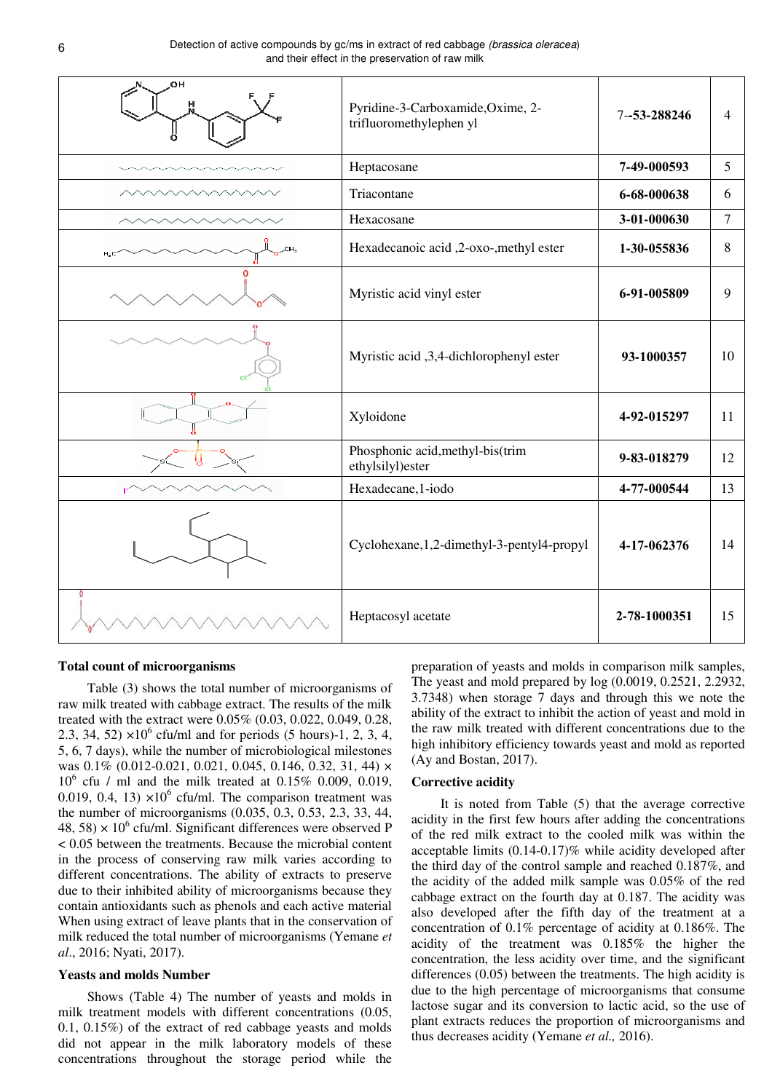| OН   | Pyridine-3-Carboxamide, Oxime, 2-<br>trifluoromethylephen yl | 7-53-288246  | $\overline{4}$ |
|------|--------------------------------------------------------------|--------------|----------------|
|      | Heptacosane                                                  | 7-49-000593  | 5              |
|      | Triacontane                                                  | 6-68-000638  | 6              |
|      | Hexacosane                                                   | 3-01-000630  | $\tau$         |
| H, C | Hexadecanoic acid ,2-oxo-, methyl ester                      | 1-30-055836  | 8              |
|      | Myristic acid vinyl ester                                    | 6-91-005809  | 9              |
|      | Myristic acid ,3,4-dichlorophenyl ester                      | 93-1000357   | 10             |
|      | Xyloidone                                                    | 4-92-015297  | 11             |
|      | Phosphonic acid, methyl-bis(trim<br>ethylsilyl)ester         | 9-83-018279  | 12             |
|      | Hexadecane, 1-iodo                                           | 4-77-000544  | 13             |
|      | Cyclohexane, 1, 2-dimethyl-3-pentyl4-propyl                  | 4-17-062376  | 14             |
|      | Heptacosyl acetate                                           | 2-78-1000351 | 15             |

### **Total count of microorganisms**

Table (3) shows the total number of microorganisms of raw milk treated with cabbage extract. The results of the milk treated with the extract were 0.05% (0.03, 0.022, 0.049, 0.28, 2.3, 34, 52)  $\times 10^6$  cfu/ml and for periods (5 hours)-1, 2, 3, 4, 5, 6, 7 days), while the number of microbiological milestones was 0.1% (0.012-0.021, 0.021, 0.045, 0.146, 0.32, 31, 44)  $\times$ 10<sup>6</sup> cfu / ml and the milk treated at 0.15% 0.009, 0.019, 0.019, 0.4, 13)  $\times 10^6$  cfu/ml. The comparison treatment was the number of microorganisms (0.035, 0.3, 0.53, 2.3, 33, 44, 48, 58)  $\times$  10<sup>6</sup> cfu/ml. Significant differences were observed P < 0.05 between the treatments. Because the microbial content in the process of conserving raw milk varies according to different concentrations. The ability of extracts to preserve due to their inhibited ability of microorganisms because they contain antioxidants such as phenols and each active material When using extract of leave plants that in the conservation of milk reduced the total number of microorganisms (Yemane *et al*., 2016; Nyati, 2017).

#### **Yeasts and molds Number**

Shows (Table 4) The number of yeasts and molds in milk treatment models with different concentrations (0.05, 0.1, 0.15%) of the extract of red cabbage yeasts and molds did not appear in the milk laboratory models of these concentrations throughout the storage period while the preparation of yeasts and molds in comparison milk samples, The yeast and mold prepared by log (0.0019, 0.2521, 2.2932, 3.7348) when storage 7 days and through this we note the ability of the extract to inhibit the action of yeast and mold in the raw milk treated with different concentrations due to the high inhibitory efficiency towards yeast and mold as reported (Ay and Bostan, 2017).

#### **Corrective acidity**

It is noted from Table (5) that the average corrective acidity in the first few hours after adding the concentrations of the red milk extract to the cooled milk was within the acceptable limits (0.14-0.17)% while acidity developed after the third day of the control sample and reached 0.187%, and the acidity of the added milk sample was 0.05% of the red cabbage extract on the fourth day at 0.187. The acidity was also developed after the fifth day of the treatment at a concentration of 0.1% percentage of acidity at 0.186%. The acidity of the treatment was 0.185% the higher the concentration, the less acidity over time, and the significant differences (0.05) between the treatments. The high acidity is due to the high percentage of microorganisms that consume lactose sugar and its conversion to lactic acid, so the use of plant extracts reduces the proportion of microorganisms and thus decreases acidity (Yemane *et al.,* 2016).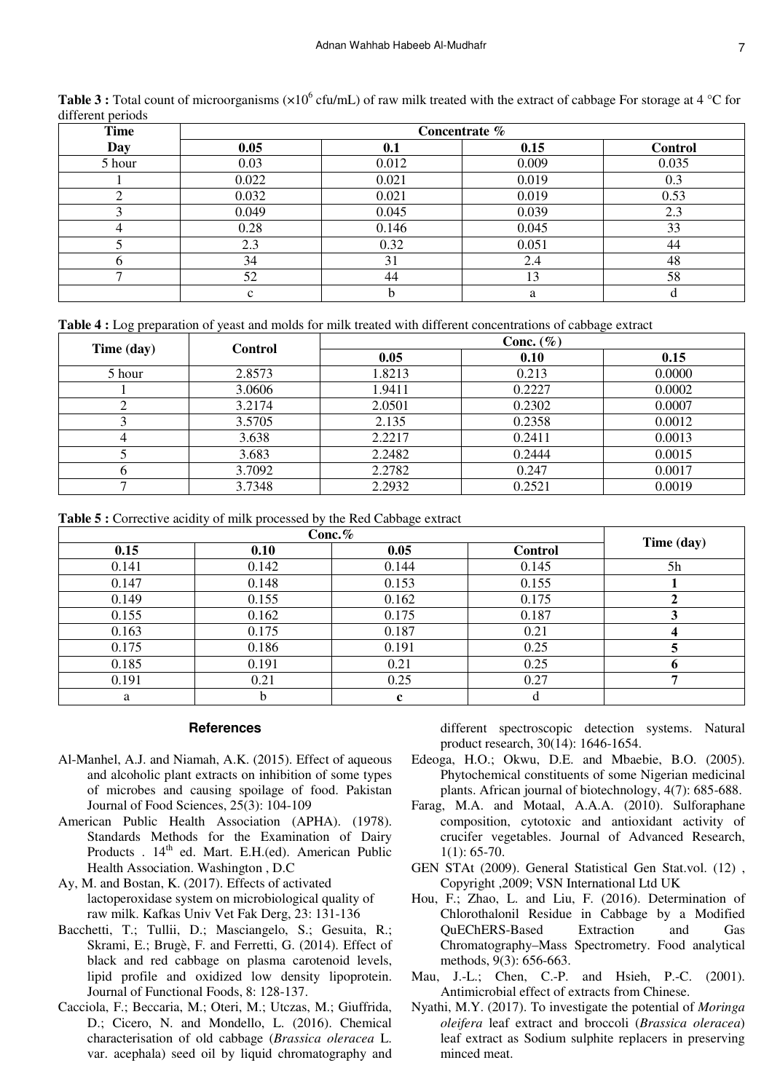| <b>Time</b> | Concentrate % |       |       |         |
|-------------|---------------|-------|-------|---------|
| Day         | 0.05          | 0.1   | 0.15  | Control |
| 5 hour      | 0.03          | 0.012 | 0.009 | 0.035   |
|             | 0.022         | 0.021 | 0.019 | 0.3     |
| ◠           | 0.032         | 0.021 | 0.019 | 0.53    |
|             | 0.049         | 0.045 | 0.039 | 2.3     |
|             | 0.28          | 0.146 | 0.045 | 33      |
|             | 2.3           | 0.32  | 0.051 | 44      |
| n           | 34            | 31    | 2.4   | 48      |
| −           | 52            | 44    | 13    | 58      |
|             | $\sim$        | h     | a     |         |

Table 3 : Total count of microorganisms (×10<sup>6</sup> cfu/mL) of raw milk treated with the extract of cabbage For storage at 4 °C for different periods

**Table 4 :** Log preparation of yeast and molds for milk treated with different concentrations of cabbage extract

| Time (day) | <b>Control</b> | Conc. $(\% )$ |        |        |
|------------|----------------|---------------|--------|--------|
|            |                | 0.05          | 0.10   | 0.15   |
| 5 hour     | 2.8573         | 1.8213        | 0.213  | 0.0000 |
|            | 3.0606         | 1.9411        | 0.2227 | 0.0002 |
|            | 3.2174         | 2.0501        | 0.2302 | 0.0007 |
|            | 3.5705         | 2.135         | 0.2358 | 0.0012 |
|            | 3.638          | 2.2217        | 0.2411 | 0.0013 |
|            | 3.683          | 2.2482        | 0.2444 | 0.0015 |
|            | 3.7092         | 2.2782        | 0.247  | 0.0017 |
| −          | 3.7348         | 2.2932        | 0.2521 | 0.0019 |

**Table 5 :** Corrective acidity of milk processed by the Red Cabbage extract

| Conc. $%$ |       |       |         |            |
|-----------|-------|-------|---------|------------|
| 0.15      | 0.10  | 0.05  | Control | Time (day) |
| 0.141     | 0.142 | 0.144 | 0.145   | 5h         |
| 0.147     | 0.148 | 0.153 | 0.155   |            |
| 0.149     | 0.155 | 0.162 | 0.175   |            |
| 0.155     | 0.162 | 0.175 | 0.187   |            |
| 0.163     | 0.175 | 0.187 | 0.21    |            |
| 0.175     | 0.186 | 0.191 | 0.25    |            |
| 0.185     | 0.191 | 0.21  | 0.25    |            |
| 0.191     | 0.21  | 0.25  | 0.27    |            |
| a         |       |       | a       |            |

## **References**

- Al-Manhel, A.J. and Niamah, A.K. (2015). Effect of aqueous and alcoholic plant extracts on inhibition of some types of microbes and causing spoilage of food. Pakistan Journal of Food Sciences, 25(3): 104-109
- American Public Health Association (APHA). (1978). Standards Methods for the Examination of Dairy Products . 14<sup>th</sup> ed. Mart. E.H.(ed). American Public Health Association. Washington , D.C
- Ay, M. and Bostan, K. (2017). Effects of activated lactoperoxidase system on microbiological quality of raw milk. Kafkas Univ Vet Fak Derg, 23: 131-136
- Bacchetti, T.; Tullii, D.; Masciangelo, S.; Gesuita, R.; Skrami, E.; Brugè, F. and Ferretti, G. (2014). Effect of black and red cabbage on plasma carotenoid levels, lipid profile and oxidized low density lipoprotein. Journal of Functional Foods, 8: 128-137.
- Cacciola, F.; Beccaria, M.; Oteri, M.; Utczas, M.; Giuffrida, D.; Cicero, N. and Mondello, L. (2016). Chemical characterisation of old cabbage (*Brassica oleracea* L. var. acephala) seed oil by liquid chromatography and

different spectroscopic detection systems. Natural product research, 30(14): 1646-1654.

- Edeoga, H.O.; Okwu, D.E. and Mbaebie, B.O. (2005). Phytochemical constituents of some Nigerian medicinal plants. African journal of biotechnology, 4(7): 685-688.
- Farag, M.A. and Motaal, A.A.A. (2010). Sulforaphane composition, cytotoxic and antioxidant activity of crucifer vegetables. Journal of Advanced Research, 1(1): 65-70.
- GEN STAt (2009). General Statistical Gen Stat.vol. (12) , Copyright ,2009; VSN International Ltd UK
- Hou, F.; Zhao, L. and Liu, F. (2016). Determination of Chlorothalonil Residue in Cabbage by a Modified QuEChERS-Based Extraction and Gas Chromatography–Mass Spectrometry. Food analytical methods, 9(3): 656-663.
- Mau, J.-L.; Chen, C.-P. and Hsieh, P.-C. (2001). Antimicrobial effect of extracts from Chinese.
- Nyathi, M.Y. (2017). To investigate the potential of *Moringa oleifera* leaf extract and broccoli (*Brassica oleracea*) leaf extract as Sodium sulphite replacers in preserving minced meat.